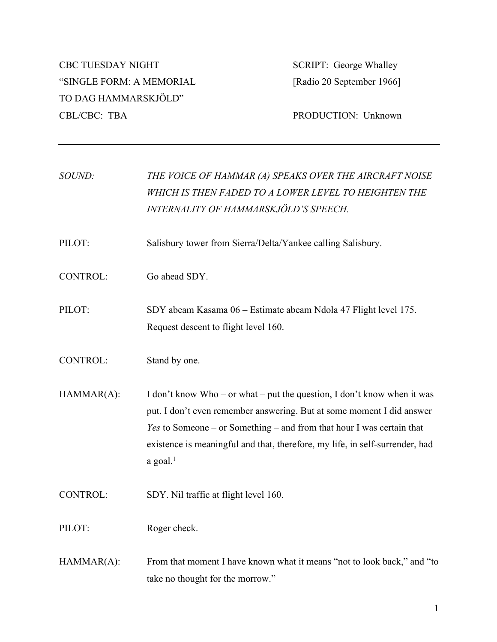### CBC TUESDAY NIGHT SCRIPT: George Whalley "SINGLE FORM: A MEMORIAL [Radio 20 September 1966] TO DAG HAMMARSKJÖLD" CBL/CBC: TBA PRODUCTION: Unknown

*SOUND: THE VOICE OF HAMMAR (A) SPEAKS OVER THE AIRCRAFT NOISE WHICH IS THEN FADED TO A LOWER LEVEL TO HEIGHTEN THE INTERNALITY OF HAMMARSKJÖLD'S SPEECH.* PILOT: Salisbury tower from Sierra/Delta/Yankee calling Salisbury. CONTROL: Go ahead SDY. PILOT: SDY abeam Kasama 06 – Estimate abeam Ndola 47 Flight level 175. Request descent to flight level 160. CONTROL: Stand by one. HAMMAR(A): I don't know Who – or what – put the question, I don't know when it was put. I don't even remember answering. But at some moment I did answer *Yes* to Someone – or Something – and from that hour I was certain that existence is meaningful and that, therefore, my life, in self-surrender, had a goal. $<sup>1</sup>$ </sup> CONTROL: SDY. Nil traffic at flight level 160. PILOT: Roger check. HAMMAR(A): From that moment I have known what it means "not to look back," and "to take no thought for the morrow."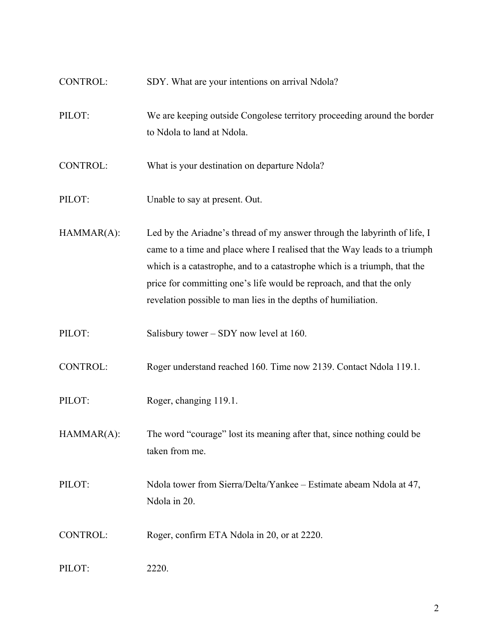PILOT: We are keeping outside Congolese territory proceeding around the border to Ndola to land at Ndola.

CONTROL: What is your destination on departure Ndola?

- PILOT: Unable to say at present. Out.
- HAMMAR(A): Led by the Ariadne's thread of my answer through the labyrinth of life, I came to a time and place where I realised that the Way leads to a triumph which is a catastrophe, and to a catastrophe which is a triumph, that the price for committing one's life would be reproach, and that the only revelation possible to man lies in the depths of humiliation.
- PILOT: Salisbury tower SDY now level at 160.
- CONTROL: Roger understand reached 160. Time now 2139. Contact Ndola 119.1.
- PILOT: Roger, changing 119.1.
- HAMMAR(A): The word "courage" lost its meaning after that, since nothing could be taken from me.
- PILOT: Ndola tower from Sierra/Delta/Yankee Estimate abeam Ndola at 47, Ndola in 20.
- CONTROL: Roger, confirm ETA Ndola in 20, or at 2220.
- PILOT: 2220.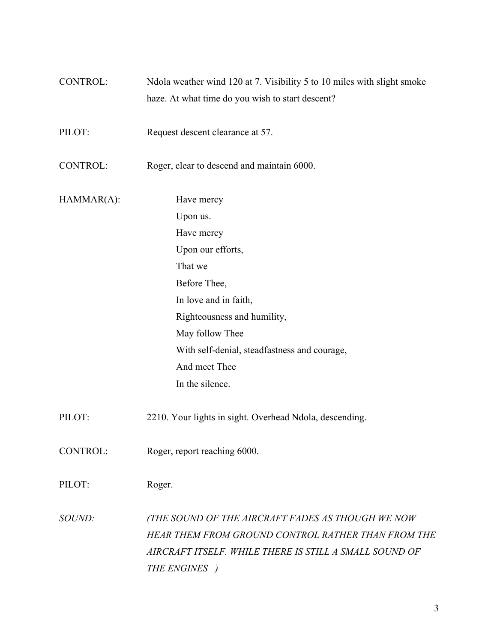| <b>CONTROL:</b> | Ndola weather wind 120 at 7. Visibility 5 to 10 miles with slight smoke |
|-----------------|-------------------------------------------------------------------------|
|                 | haze. At what time do you wish to start descent?                        |
| PILOT:          | Request descent clearance at 57.                                        |
| <b>CONTROL:</b> | Roger, clear to descend and maintain 6000.                              |
| HAMMAR(A):      | Have mercy                                                              |
|                 | Upon us.                                                                |
|                 | Have mercy                                                              |
|                 | Upon our efforts,                                                       |
|                 | That we                                                                 |
|                 | Before Thee,                                                            |
|                 | In love and in faith,                                                   |
|                 | Righteousness and humility,                                             |
|                 | May follow Thee                                                         |
|                 | With self-denial, steadfastness and courage,                            |
|                 | And meet Thee                                                           |
|                 | In the silence.                                                         |
| PILOT:          | 2210. Your lights in sight. Overhead Ndola, descending.                 |
| <b>CONTROL:</b> | Roger, report reaching 6000.                                            |
| PILOT:          | Roger.                                                                  |
| SOUND:          | (THE SOUND OF THE AIRCRAFT FADES AS THOUGH WE NOW                       |
|                 | HEAR THEM FROM GROUND CONTROL RATHER THAN FROM THE                      |
|                 | AIRCRAFT ITSELF. WHILE THERE IS STILL A SMALL SOUND OF                  |
|                 | THE ENGINES-)                                                           |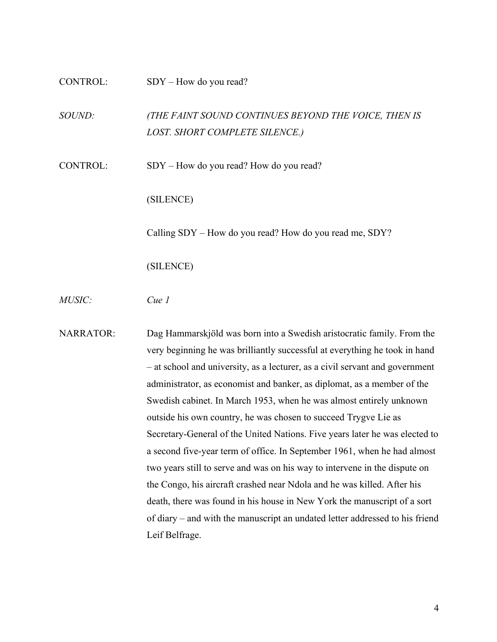#### CONTROL: SDY – How do you read?

*SOUND: (THE FAINT SOUND CONTINUES BEYOND THE VOICE, THEN IS LOST. SHORT COMPLETE SILENCE.)*

CONTROL: SDY – How do you read? How do you read?

(SILENCE)

Calling SDY – How do you read? How do you read me, SDY?

(SILENCE)

*MUSIC: Cue 1*

NARRATOR: Dag Hammarskjöld was born into a Swedish aristocratic family. From the very beginning he was brilliantly successful at everything he took in hand – at school and university, as a lecturer, as a civil servant and government administrator, as economist and banker, as diplomat, as a member of the Swedish cabinet. In March 1953, when he was almost entirely unknown outside his own country, he was chosen to succeed Trygve Lie as Secretary-General of the United Nations. Five years later he was elected to a second five-year term of office. In September 1961, when he had almost two years still to serve and was on his way to intervene in the dispute on the Congo, his aircraft crashed near Ndola and he was killed. After his death, there was found in his house in New York the manuscript of a sort of diary – and with the manuscript an undated letter addressed to his friend Leif Belfrage.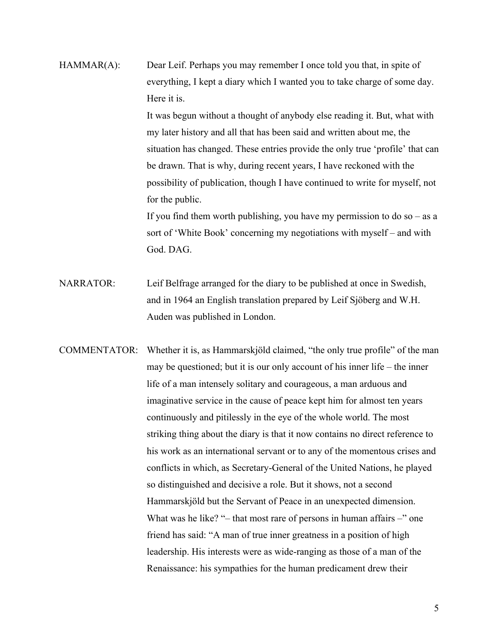HAMMAR(A): Dear Leif. Perhaps you may remember I once told you that, in spite of everything, I kept a diary which I wanted you to take charge of some day. Here it is.

> It was begun without a thought of anybody else reading it. But, what with my later history and all that has been said and written about me, the situation has changed. These entries provide the only true 'profile' that can be drawn. That is why, during recent years, I have reckoned with the possibility of publication, though I have continued to write for myself, not for the public.

> If you find them worth publishing, you have my permission to do so  $-$  as a sort of 'White Book' concerning my negotiations with myself – and with God. DAG.

- NARRATOR: Leif Belfrage arranged for the diary to be published at once in Swedish, and in 1964 an English translation prepared by Leif Sjöberg and W.H. Auden was published in London.
- COMMENTATOR: Whether it is, as Hammarskjöld claimed, "the only true profile" of the man may be questioned; but it is our only account of his inner life – the inner life of a man intensely solitary and courageous, a man arduous and imaginative service in the cause of peace kept him for almost ten years continuously and pitilessly in the eye of the whole world. The most striking thing about the diary is that it now contains no direct reference to his work as an international servant or to any of the momentous crises and conflicts in which, as Secretary-General of the United Nations, he played so distinguished and decisive a role. But it shows, not a second Hammarskjöld but the Servant of Peace in an unexpected dimension. What was he like? "- that most rare of persons in human affairs -" one friend has said: "A man of true inner greatness in a position of high leadership. His interests were as wide-ranging as those of a man of the Renaissance: his sympathies for the human predicament drew their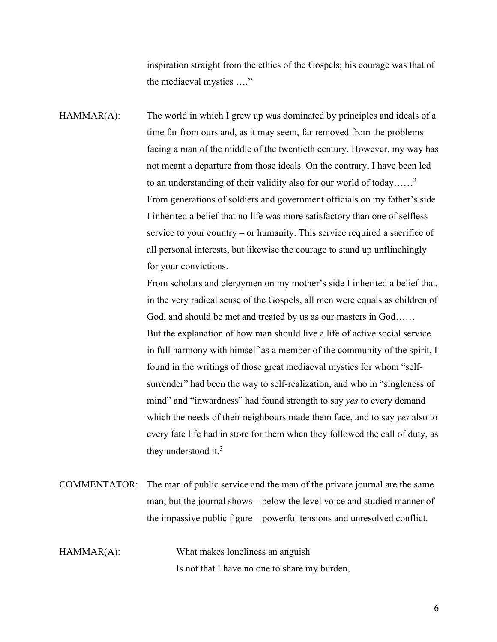inspiration straight from the ethics of the Gospels; his courage was that of the mediaeval mystics …."

HAMMAR(A): The world in which I grew up was dominated by principles and ideals of a time far from ours and, as it may seem, far removed from the problems facing a man of the middle of the twentieth century. However, my way has not meant a departure from those ideals. On the contrary, I have been led to an understanding of their validity also for our world of today……2 From generations of soldiers and government officials on my father's side I inherited a belief that no life was more satisfactory than one of selfless service to your country – or humanity. This service required a sacrifice of all personal interests, but likewise the courage to stand up unflinchingly for your convictions.

> From scholars and clergymen on my mother's side I inherited a belief that, in the very radical sense of the Gospels, all men were equals as children of God, and should be met and treated by us as our masters in God…… But the explanation of how man should live a life of active social service in full harmony with himself as a member of the community of the spirit, I found in the writings of those great mediaeval mystics for whom "selfsurrender" had been the way to self-realization, and who in "singleness of mind" and "inwardness" had found strength to say *yes* to every demand which the needs of their neighbours made them face, and to say *yes* also to every fate life had in store for them when they followed the call of duty, as they understood it.<sup>3</sup>

- COMMENTATOR: The man of public service and the man of the private journal are the same man; but the journal shows – below the level voice and studied manner of the impassive public figure – powerful tensions and unresolved conflict.
- HAMMAR(A): What makes loneliness an anguish Is not that I have no one to share my burden,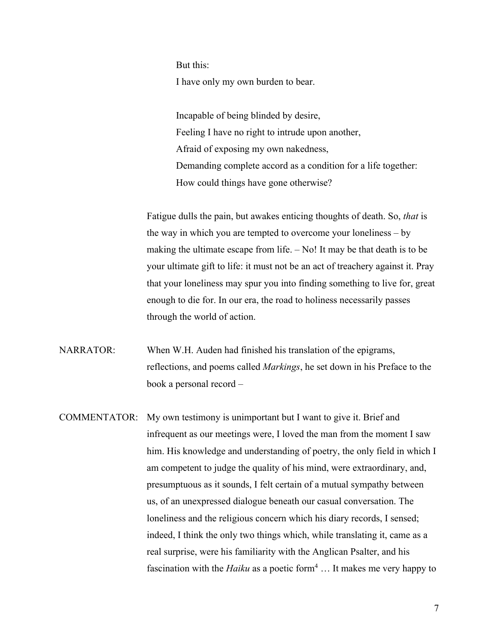But this: I have only my own burden to bear.

Incapable of being blinded by desire, Feeling I have no right to intrude upon another, Afraid of exposing my own nakedness, Demanding complete accord as a condition for a life together: How could things have gone otherwise?

Fatigue dulls the pain, but awakes enticing thoughts of death. So, *that* is the way in which you are tempted to overcome your loneliness – by making the ultimate escape from life.  $-$  No! It may be that death is to be your ultimate gift to life: it must not be an act of treachery against it. Pray that your loneliness may spur you into finding something to live for, great enough to die for. In our era, the road to holiness necessarily passes through the world of action.

- NARRATOR: When W.H. Auden had finished his translation of the epigrams, reflections, and poems called *Markings*, he set down in his Preface to the book a personal record –
- COMMENTATOR: My own testimony is unimportant but I want to give it. Brief and infrequent as our meetings were, I loved the man from the moment I saw him. His knowledge and understanding of poetry, the only field in which I am competent to judge the quality of his mind, were extraordinary, and, presumptuous as it sounds, I felt certain of a mutual sympathy between us, of an unexpressed dialogue beneath our casual conversation. The loneliness and the religious concern which his diary records, I sensed; indeed, I think the only two things which, while translating it, came as a real surprise, were his familiarity with the Anglican Psalter, and his fascination with the *Haiku* as a poetic form<sup>4</sup> ... It makes me very happy to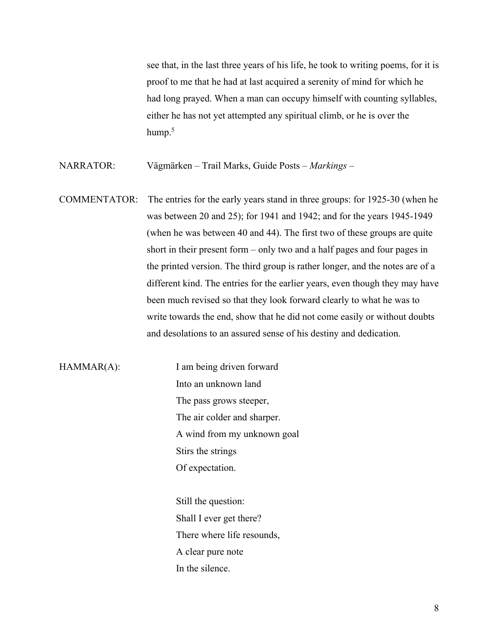see that, in the last three years of his life, he took to writing poems, for it is proof to me that he had at last acquired a serenity of mind for which he had long prayed. When a man can occupy himself with counting syllables, either he has not yet attempted any spiritual climb, or he is over the hump.5

NARRATOR: Vägmärken – Trail Marks, Guide Posts – *Markings* –

COMMENTATOR: The entries for the early years stand in three groups: for 1925-30 (when he was between 20 and 25); for 1941 and 1942; and for the years 1945-1949 (when he was between 40 and 44). The first two of these groups are quite short in their present form – only two and a half pages and four pages in the printed version. The third group is rather longer, and the notes are of a different kind. The entries for the earlier years, even though they may have been much revised so that they look forward clearly to what he was to write towards the end, show that he did not come easily or without doubts and desolations to an assured sense of his destiny and dedication.

HAMMAR(A): I am being driven forward Into an unknown land The pass grows steeper, The air colder and sharper. A wind from my unknown goal Stirs the strings Of expectation.

> Still the question: Shall I ever get there? There where life resounds, A clear pure note In the silence.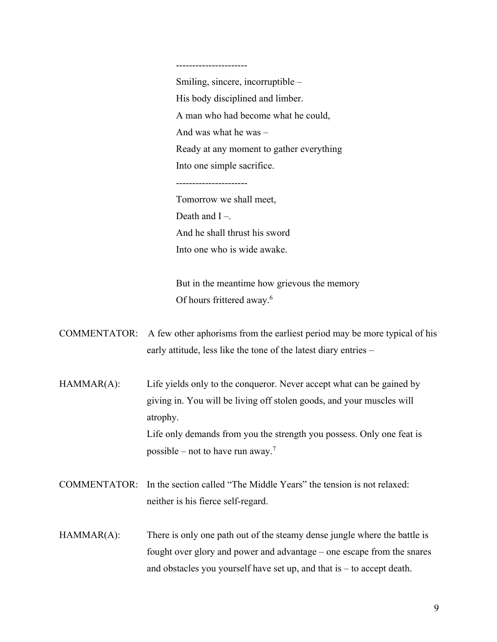Smiling, sincere, incorruptible – His body disciplined and limber. A man who had become what he could, And was what he was – Ready at any moment to gather everything Into one simple sacrifice. ----------------------

Tomorrow we shall meet, Death and  $I -$ . And he shall thrust his sword Into one who is wide awake.

----------------------

But in the meantime how grievous the memory Of hours frittered away.6

- COMMENTATOR: A few other aphorisms from the earliest period may be more typical of his early attitude, less like the tone of the latest diary entries –
- HAMMAR(A): Life yields only to the conqueror. Never accept what can be gained by giving in. You will be living off stolen goods, and your muscles will atrophy. Life only demands from you the strength you possess. Only one feat is possible – not to have run away.7
- COMMENTATOR: In the section called "The Middle Years" the tension is not relaxed: neither is his fierce self-regard.
- HAMMAR(A): There is only one path out of the steamy dense jungle where the battle is fought over glory and power and advantage – one escape from the snares and obstacles you yourself have set up, and that is – to accept death.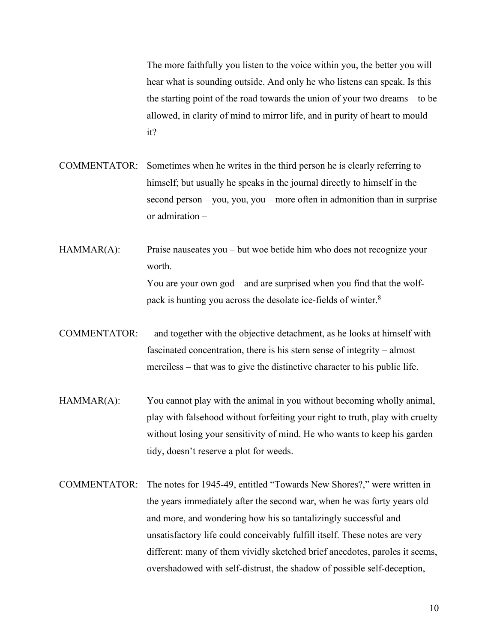The more faithfully you listen to the voice within you, the better you will hear what is sounding outside. And only he who listens can speak. Is this the starting point of the road towards the union of your two dreams – to be allowed, in clarity of mind to mirror life, and in purity of heart to mould it?

- COMMENTATOR: Sometimes when he writes in the third person he is clearly referring to himself; but usually he speaks in the journal directly to himself in the second person – you, you, you – more often in admonition than in surprise or admiration –
- HAMMAR(A): Praise nauseates you but woe betide him who does not recognize your worth. You are your own god – and are surprised when you find that the wolfpack is hunting you across the desolate ice-fields of winter.8
- COMMENTATOR: and together with the objective detachment, as he looks at himself with fascinated concentration, there is his stern sense of integrity – almost merciless – that was to give the distinctive character to his public life.
- HAMMAR(A): You cannot play with the animal in you without becoming wholly animal, play with falsehood without forfeiting your right to truth, play with cruelty without losing your sensitivity of mind. He who wants to keep his garden tidy, doesn't reserve a plot for weeds.
- COMMENTATOR: The notes for 1945-49, entitled "Towards New Shores?," were written in the years immediately after the second war, when he was forty years old and more, and wondering how his so tantalizingly successful and unsatisfactory life could conceivably fulfill itself. These notes are very different: many of them vividly sketched brief anecdotes, paroles it seems, overshadowed with self-distrust, the shadow of possible self-deception,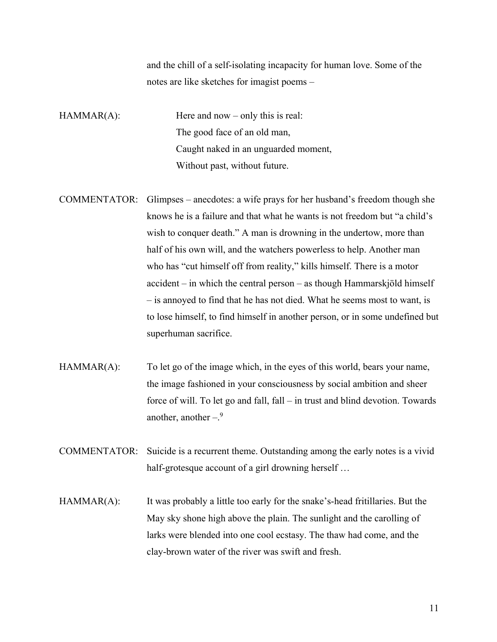and the chill of a self-isolating incapacity for human love. Some of the notes are like sketches for imagist poems –

HAMMAR(A): Here and now – only this is real: The good face of an old man, Caught naked in an unguarded moment, Without past, without future.

- COMMENTATOR: Glimpses anecdotes: a wife prays for her husband's freedom though she knows he is a failure and that what he wants is not freedom but "a child's wish to conquer death." A man is drowning in the undertow, more than half of his own will, and the watchers powerless to help. Another man who has "cut himself off from reality," kills himself. There is a motor accident – in which the central person – as though Hammarskjöld himself – is annoyed to find that he has not died. What he seems most to want, is to lose himself, to find himself in another person, or in some undefined but superhuman sacrifice.
- HAMMAR(A): To let go of the image which, in the eyes of this world, bears your name, the image fashioned in your consciousness by social ambition and sheer force of will. To let go and fall, fall – in trust and blind devotion. Towards another, another  $-$ .<sup>9</sup>
- COMMENTATOR: Suicide is a recurrent theme. Outstanding among the early notes is a vivid half-grotesque account of a girl drowning herself …
- HAMMAR(A): It was probably a little too early for the snake's-head fritillaries. But the May sky shone high above the plain. The sunlight and the carolling of larks were blended into one cool ecstasy. The thaw had come, and the clay-brown water of the river was swift and fresh.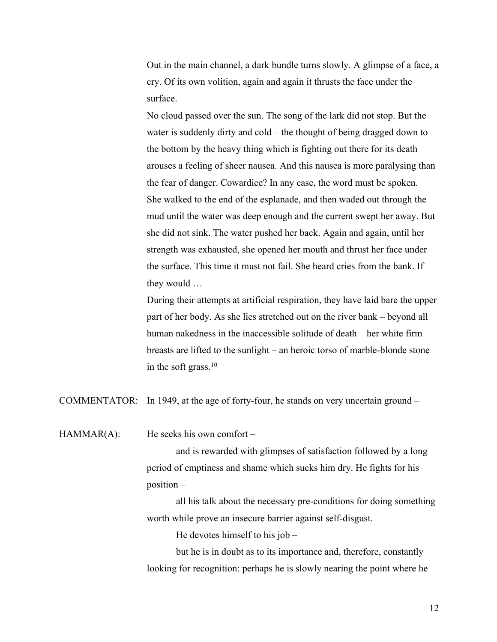Out in the main channel, a dark bundle turns slowly. A glimpse of a face, a cry. Of its own volition, again and again it thrusts the face under the surface. –

No cloud passed over the sun. The song of the lark did not stop. But the water is suddenly dirty and cold – the thought of being dragged down to the bottom by the heavy thing which is fighting out there for its death arouses a feeling of sheer nausea. And this nausea is more paralysing than the fear of danger. Cowardice? In any case, the word must be spoken. She walked to the end of the esplanade, and then waded out through the mud until the water was deep enough and the current swept her away. But she did not sink. The water pushed her back. Again and again, until her strength was exhausted, she opened her mouth and thrust her face under the surface. This time it must not fail. She heard cries from the bank. If they would …

During their attempts at artificial respiration, they have laid bare the upper part of her body. As she lies stretched out on the river bank – beyond all human nakedness in the inaccessible solitude of death – her white firm breasts are lifted to the sunlight – an heroic torso of marble-blonde stone in the soft grass. $10$ 

COMMENTATOR: In 1949, at the age of forty-four, he stands on very uncertain ground –

 $HAMMAR(A):$  He seeks his own comfort –

and is rewarded with glimpses of satisfaction followed by a long period of emptiness and shame which sucks him dry. He fights for his position –

all his talk about the necessary pre-conditions for doing something worth while prove an insecure barrier against self-disgust.

He devotes himself to his job –

but he is in doubt as to its importance and, therefore, constantly looking for recognition: perhaps he is slowly nearing the point where he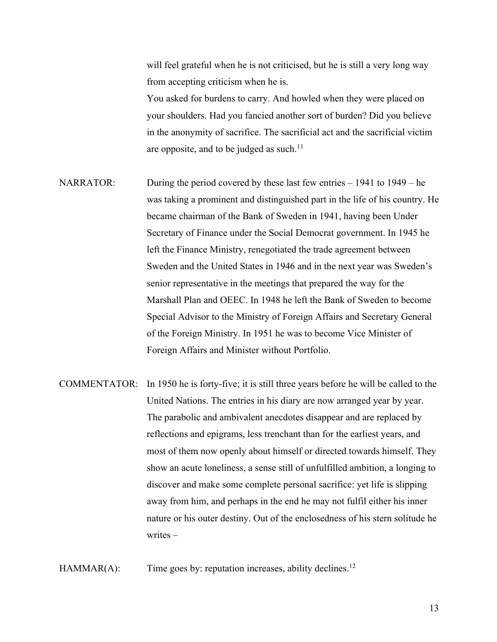will feel grateful when he is not criticised, but he is still a very long way from accepting criticism when he is. You asked for burdens to carry. And howled when they were placed on your shoulders. Had you fancied another sort of burden? Did you believe in the anonymity of sacrifice. The sacrificial act and the sacrificial victim

NARRATOR: During the period covered by these last few entries – 1941 to 1949 – he was taking a prominent and distinguished part in the life of his country. He became chairman of the Bank of Sweden in 1941, having been Under Secretary of Finance under the Social Democrat government. In 1945 he left the Finance Ministry, renegotiated the trade agreement between Sweden and the United States in 1946 and in the next year was Sweden's senior representative in the meetings that prepared the way for the Marshall Plan and OEEC. In 1948 he left the Bank of Sweden to become Special Advisor to the Ministry of Foreign Affairs and Secretary General of the Foreign Ministry. In 1951 he was to become Vice Minister of Foreign Affairs and Minister without Portfolio.

are opposite, and to be judged as such.<sup>11</sup>

COMMENTATOR: In 1950 he is forty-five; it is still three years before he will be called to the United Nations. The entries in his diary are now arranged year by year. The parabolic and ambivalent anecdotes disappear and are replaced by reflections and epigrams, less trenchant than for the earliest years, and most of them now openly about himself or directed towards himself. They show an acute loneliness, a sense still of unfulfilled ambition, a longing to discover and make some complete personal sacrifice: yet life is slipping away from him, and perhaps in the end he may not fulfil either his inner nature or his outer destiny. Out of the enclosedness of his stern solitude he writes –

 $HAMMAR(A):$  Time goes by: reputation increases, ability declines.<sup>12</sup>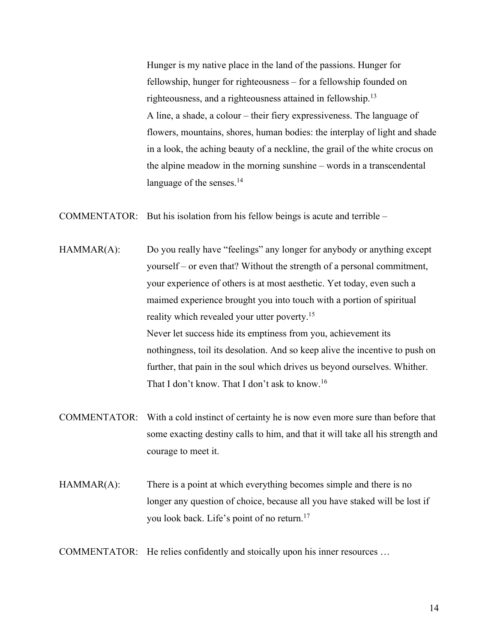Hunger is my native place in the land of the passions. Hunger for fellowship, hunger for righteousness – for a fellowship founded on righteousness, and a righteousness attained in fellowship.13 A line, a shade, a colour – their fiery expressiveness. The language of flowers, mountains, shores, human bodies: the interplay of light and shade in a look, the aching beauty of a neckline, the grail of the white crocus on the alpine meadow in the morning sunshine – words in a transcendental language of the senses.<sup>14</sup>

COMMENTATOR: But his isolation from his fellow beings is acute and terrible –

- HAMMAR(A): Do you really have "feelings" any longer for anybody or anything except yourself – or even that? Without the strength of a personal commitment, your experience of others is at most aesthetic. Yet today, even such a maimed experience brought you into touch with a portion of spiritual reality which revealed your utter poverty.<sup>15</sup> Never let success hide its emptiness from you, achievement its nothingness, toil its desolation. And so keep alive the incentive to push on further, that pain in the soul which drives us beyond ourselves. Whither. That I don't know. That I don't ask to know.16
- COMMENTATOR: With a cold instinct of certainty he is now even more sure than before that some exacting destiny calls to him, and that it will take all his strength and courage to meet it.
- HAMMAR(A): There is a point at which everything becomes simple and there is no longer any question of choice, because all you have staked will be lost if you look back. Life's point of no return.17

COMMENTATOR: He relies confidently and stoically upon his inner resources …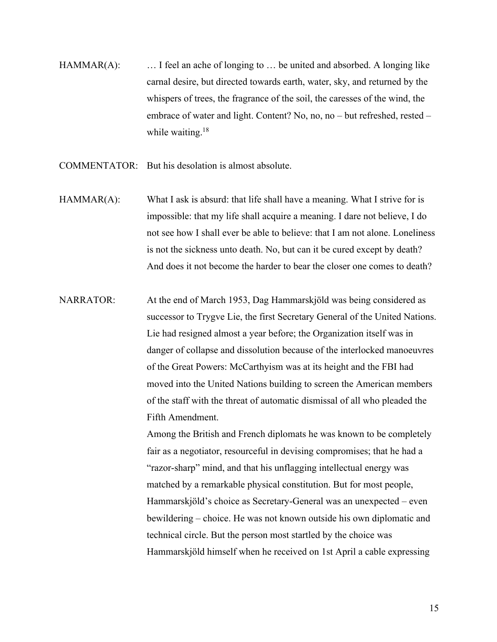HAMMAR(A): … I feel an ache of longing to … be united and absorbed. A longing like carnal desire, but directed towards earth, water, sky, and returned by the whispers of trees, the fragrance of the soil, the caresses of the wind, the embrace of water and light. Content? No, no, no – but refreshed, rested – while waiting.<sup>18</sup>

COMMENTATOR: But his desolation is almost absolute.

- HAMMAR(A): What I ask is absurd: that life shall have a meaning. What I strive for is impossible: that my life shall acquire a meaning. I dare not believe, I do not see how I shall ever be able to believe: that I am not alone. Loneliness is not the sickness unto death. No, but can it be cured except by death? And does it not become the harder to bear the closer one comes to death?
- NARRATOR: At the end of March 1953, Dag Hammarskjöld was being considered as successor to Trygve Lie, the first Secretary General of the United Nations. Lie had resigned almost a year before; the Organization itself was in danger of collapse and dissolution because of the interlocked manoeuvres of the Great Powers: McCarthyism was at its height and the FBI had moved into the United Nations building to screen the American members of the staff with the threat of automatic dismissal of all who pleaded the Fifth Amendment.

Among the British and French diplomats he was known to be completely fair as a negotiator, resourceful in devising compromises; that he had a "razor-sharp" mind, and that his unflagging intellectual energy was matched by a remarkable physical constitution. But for most people, Hammarskjöld's choice as Secretary-General was an unexpected – even bewildering – choice. He was not known outside his own diplomatic and technical circle. But the person most startled by the choice was Hammarskjöld himself when he received on 1st April a cable expressing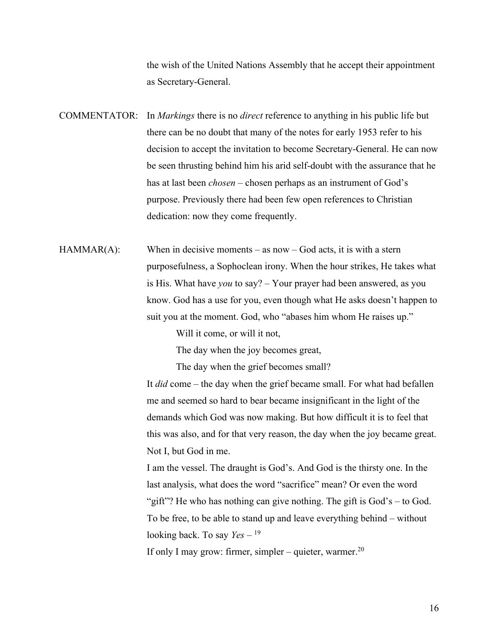the wish of the United Nations Assembly that he accept their appointment as Secretary-General.

COMMENTATOR: In *Markings* there is no *direct* reference to anything in his public life but there can be no doubt that many of the notes for early 1953 refer to his decision to accept the invitation to become Secretary-General. He can now be seen thrusting behind him his arid self-doubt with the assurance that he has at last been *chosen* – chosen perhaps as an instrument of God's purpose. Previously there had been few open references to Christian dedication: now they come frequently.

 $HAMMAR(A):$  When in decisive moments – as now – God acts, it is with a stern purposefulness, a Sophoclean irony. When the hour strikes, He takes what is His. What have *you* to say? – Your prayer had been answered, as you know. God has a use for you, even though what He asks doesn't happen to suit you at the moment. God, who "abases him whom He raises up."

Will it come, or will it not,

The day when the joy becomes great,

The day when the grief becomes small?

It *did* come – the day when the grief became small. For what had befallen me and seemed so hard to bear became insignificant in the light of the demands which God was now making. But how difficult it is to feel that this was also, and for that very reason, the day when the joy became great. Not I, but God in me.

I am the vessel. The draught is God's. And God is the thirsty one. In the last analysis, what does the word "sacrifice" mean? Or even the word "gift"? He who has nothing can give nothing. The gift is God's – to God. To be free, to be able to stand up and leave everything behind – without looking back. To say *Yes* – <sup>19</sup>

If only I may grow: firmer, simpler – quieter, warmer.<sup>20</sup>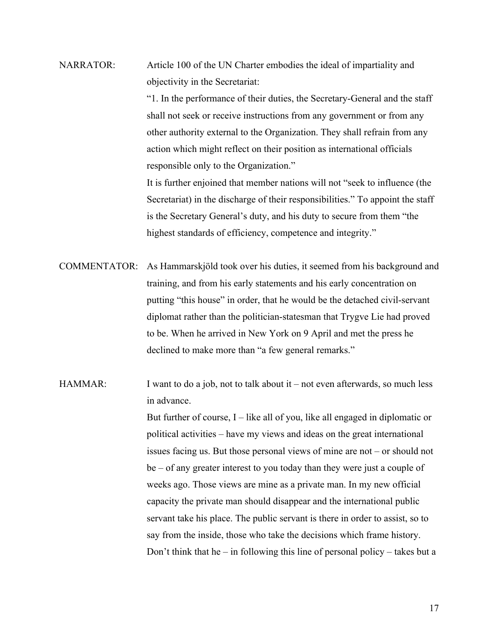## NARRATOR: Article 100 of the UN Charter embodies the ideal of impartiality and objectivity in the Secretariat: "1. In the performance of their duties, the Secretary-General and the staff shall not seek or receive instructions from any government or from any other authority external to the Organization. They shall refrain from any action which might reflect on their position as international officials responsible only to the Organization." It is further enjoined that member nations will not "seek to influence (the Secretariat) in the discharge of their responsibilities." To appoint the staff is the Secretary General's duty, and his duty to secure from them "the highest standards of efficiency, competence and integrity."

- COMMENTATOR: As Hammarskjöld took over his duties, it seemed from his background and training, and from his early statements and his early concentration on putting "this house" in order, that he would be the detached civil-servant diplomat rather than the politician-statesman that Trygve Lie had proved to be. When he arrived in New York on 9 April and met the press he declined to make more than "a few general remarks."
- HAMMAR: I want to do a job, not to talk about it not even afterwards, so much less in advance.

But further of course, I – like all of you, like all engaged in diplomatic or political activities – have my views and ideas on the great international issues facing us. But those personal views of mine are not – or should not be – of any greater interest to you today than they were just a couple of weeks ago. Those views are mine as a private man. In my new official capacity the private man should disappear and the international public servant take his place. The public servant is there in order to assist, so to say from the inside, those who take the decisions which frame history. Don't think that he – in following this line of personal policy – takes but a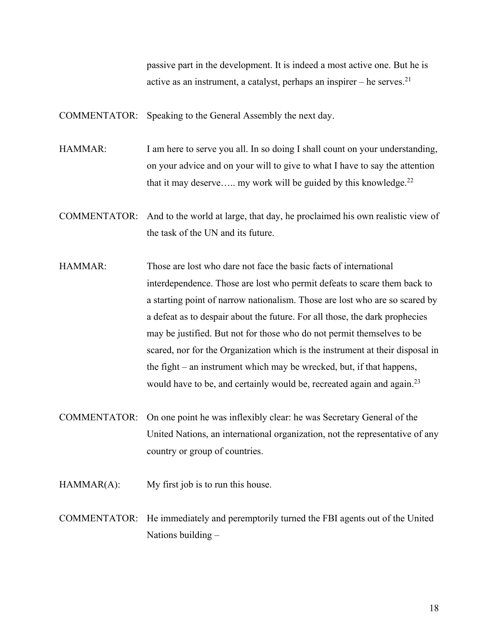passive part in the development. It is indeed a most active one. But he is active as an instrument, a catalyst, perhaps an inspirer – he serves.<sup>21</sup>

COMMENTATOR: Speaking to the General Assembly the next day.

HAMMAR: I am here to serve you all. In so doing I shall count on your understanding, on your advice and on your will to give to what I have to say the attention that it may deserve..... my work will be guided by this knowledge. $22$ 

- COMMENTATOR: And to the world at large, that day, he proclaimed his own realistic view of the task of the UN and its future.
- HAMMAR: Those are lost who dare not face the basic facts of international interdependence. Those are lost who permit defeats to scare them back to a starting point of narrow nationalism. Those are lost who are so scared by a defeat as to despair about the future. For all those, the dark prophecies may be justified. But not for those who do not permit themselves to be scared, nor for the Organization which is the instrument at their disposal in the fight – an instrument which may be wrecked, but, if that happens, would have to be, and certainly would be, recreated again and again.<sup>23</sup>
- COMMENTATOR: On one point he was inflexibly clear: he was Secretary General of the United Nations, an international organization, not the representative of any country or group of countries.
- HAMMAR(A): My first job is to run this house.
- COMMENTATOR: He immediately and peremptorily turned the FBI agents out of the United Nations building –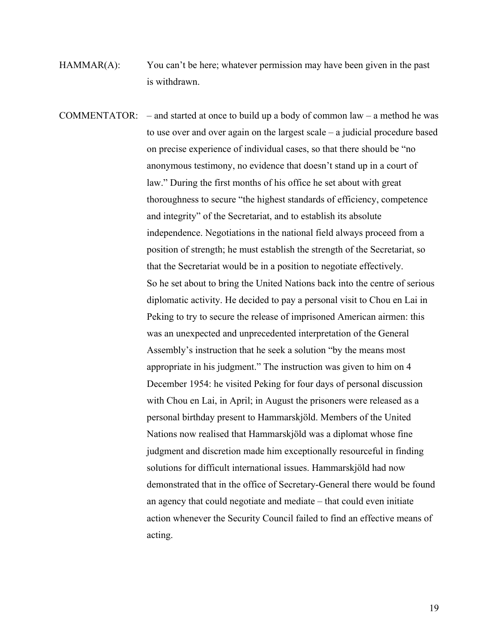- HAMMAR(A): You can't be here; whatever permission may have been given in the past is withdrawn.
- COMMENTATOR: and started at once to build up a body of common law a method he was to use over and over again on the largest scale – a judicial procedure based on precise experience of individual cases, so that there should be "no anonymous testimony, no evidence that doesn't stand up in a court of law." During the first months of his office he set about with great thoroughness to secure "the highest standards of efficiency, competence and integrity" of the Secretariat, and to establish its absolute independence. Negotiations in the national field always proceed from a position of strength; he must establish the strength of the Secretariat, so that the Secretariat would be in a position to negotiate effectively. So he set about to bring the United Nations back into the centre of serious diplomatic activity. He decided to pay a personal visit to Chou en Lai in Peking to try to secure the release of imprisoned American airmen: this was an unexpected and unprecedented interpretation of the General Assembly's instruction that he seek a solution "by the means most appropriate in his judgment." The instruction was given to him on 4 December 1954: he visited Peking for four days of personal discussion with Chou en Lai, in April; in August the prisoners were released as a personal birthday present to Hammarskjöld. Members of the United Nations now realised that Hammarskjöld was a diplomat whose fine judgment and discretion made him exceptionally resourceful in finding solutions for difficult international issues. Hammarskjöld had now demonstrated that in the office of Secretary-General there would be found an agency that could negotiate and mediate – that could even initiate action whenever the Security Council failed to find an effective means of acting.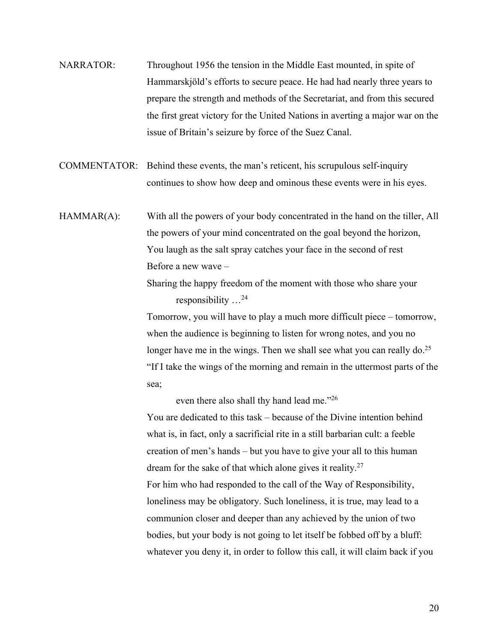- NARRATOR: Throughout 1956 the tension in the Middle East mounted, in spite of Hammarskjöld's efforts to secure peace. He had had nearly three years to prepare the strength and methods of the Secretariat, and from this secured the first great victory for the United Nations in averting a major war on the issue of Britain's seizure by force of the Suez Canal.
- COMMENTATOR: Behind these events, the man's reticent, his scrupulous self-inquiry continues to show how deep and ominous these events were in his eyes.
- HAMMAR(A): With all the powers of your body concentrated in the hand on the tiller, All the powers of your mind concentrated on the goal beyond the horizon, You laugh as the salt spray catches your face in the second of rest Before a new wave –
	- Sharing the happy freedom of the moment with those who share your responsibility …24

Tomorrow, you will have to play a much more difficult piece – tomorrow, when the audience is beginning to listen for wrong notes, and you no longer have me in the wings. Then we shall see what you can really  $\omega^{25}$ "If I take the wings of the morning and remain in the uttermost parts of the sea;

even there also shall thy hand lead me."<sup>26</sup>

You are dedicated to this task – because of the Divine intention behind what is, in fact, only a sacrificial rite in a still barbarian cult: a feeble creation of men's hands – but you have to give your all to this human dream for the sake of that which alone gives it reality.<sup>27</sup> For him who had responded to the call of the Way of Responsibility, loneliness may be obligatory. Such loneliness, it is true, may lead to a communion closer and deeper than any achieved by the union of two bodies, but your body is not going to let itself be fobbed off by a bluff: whatever you deny it, in order to follow this call, it will claim back if you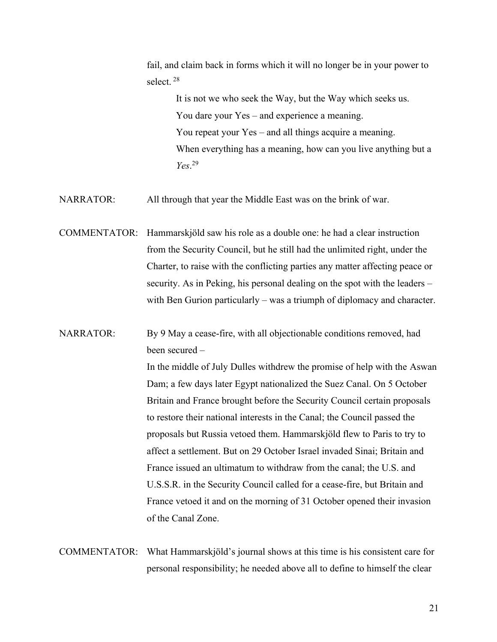fail, and claim back in forms which it will no longer be in your power to select. <sup>28</sup>

> It is not we who seek the Way, but the Way which seeks us. You dare your Yes – and experience a meaning. You repeat your Yes – and all things acquire a meaning. When everything has a meaning, how can you live anything but a *Yes*. 29

NARRATOR: All through that year the Middle East was on the brink of war.

COMMENTATOR: Hammarskjöld saw his role as a double one: he had a clear instruction from the Security Council, but he still had the unlimited right, under the Charter, to raise with the conflicting parties any matter affecting peace or security. As in Peking, his personal dealing on the spot with the leaders – with Ben Gurion particularly – was a triumph of diplomacy and character.

NARRATOR: By 9 May a cease-fire, with all objectionable conditions removed, had been secured –

> In the middle of July Dulles withdrew the promise of help with the Aswan Dam; a few days later Egypt nationalized the Suez Canal. On 5 October Britain and France brought before the Security Council certain proposals to restore their national interests in the Canal; the Council passed the proposals but Russia vetoed them. Hammarskjöld flew to Paris to try to affect a settlement. But on 29 October Israel invaded Sinai; Britain and France issued an ultimatum to withdraw from the canal; the U.S. and U.S.S.R. in the Security Council called for a cease-fire, but Britain and France vetoed it and on the morning of 31 October opened their invasion of the Canal Zone.

COMMENTATOR: What Hammarskjöld's journal shows at this time is his consistent care for personal responsibility; he needed above all to define to himself the clear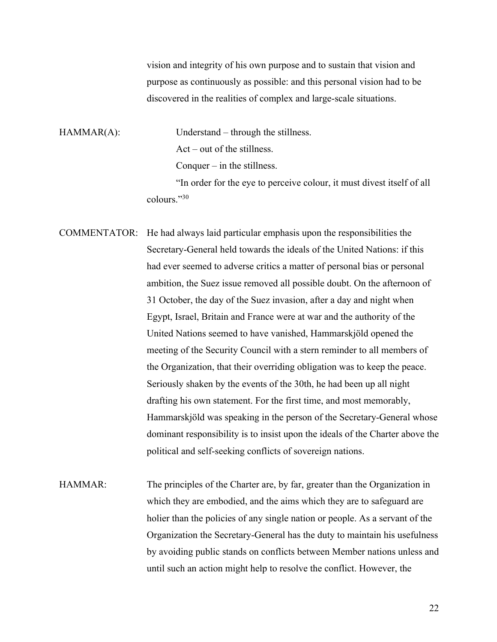vision and integrity of his own purpose and to sustain that vision and purpose as continuously as possible: and this personal vision had to be discovered in the realities of complex and large-scale situations.

HAMMAR(A): Understand – through the stillness. Act – out of the stillness. Conquer – in the stillness. "In order for the eye to perceive colour, it must divest itself of all

colours."30

COMMENTATOR: He had always laid particular emphasis upon the responsibilities the Secretary-General held towards the ideals of the United Nations: if this had ever seemed to adverse critics a matter of personal bias or personal ambition, the Suez issue removed all possible doubt. On the afternoon of 31 October, the day of the Suez invasion, after a day and night when Egypt, Israel, Britain and France were at war and the authority of the United Nations seemed to have vanished, Hammarskjöld opened the meeting of the Security Council with a stern reminder to all members of the Organization, that their overriding obligation was to keep the peace. Seriously shaken by the events of the 30th, he had been up all night drafting his own statement. For the first time, and most memorably, Hammarskjöld was speaking in the person of the Secretary-General whose dominant responsibility is to insist upon the ideals of the Charter above the political and self-seeking conflicts of sovereign nations.

HAMMAR: The principles of the Charter are, by far, greater than the Organization in which they are embodied, and the aims which they are to safeguard are holier than the policies of any single nation or people. As a servant of the Organization the Secretary-General has the duty to maintain his usefulness by avoiding public stands on conflicts between Member nations unless and until such an action might help to resolve the conflict. However, the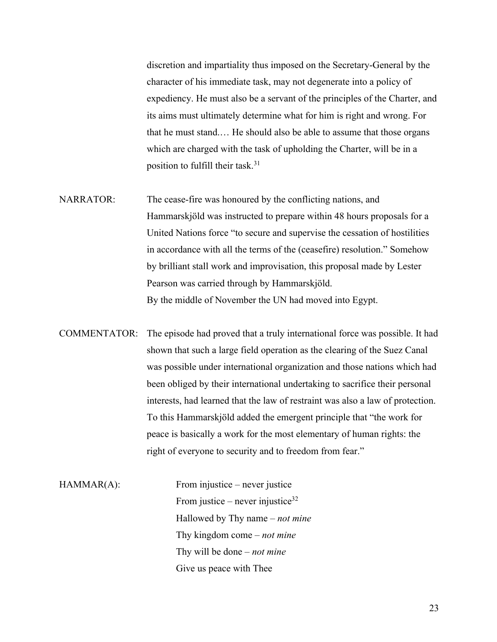discretion and impartiality thus imposed on the Secretary-General by the character of his immediate task, may not degenerate into a policy of expediency. He must also be a servant of the principles of the Charter, and its aims must ultimately determine what for him is right and wrong. For that he must stand.… He should also be able to assume that those organs which are charged with the task of upholding the Charter, will be in a position to fulfill their task.31

- NARRATOR: The cease-fire was honoured by the conflicting nations, and Hammarskjöld was instructed to prepare within 48 hours proposals for a United Nations force "to secure and supervise the cessation of hostilities in accordance with all the terms of the (ceasefire) resolution." Somehow by brilliant stall work and improvisation, this proposal made by Lester Pearson was carried through by Hammarskjöld. By the middle of November the UN had moved into Egypt.
- COMMENTATOR: The episode had proved that a truly international force was possible. It had shown that such a large field operation as the clearing of the Suez Canal was possible under international organization and those nations which had been obliged by their international undertaking to sacrifice their personal interests, had learned that the law of restraint was also a law of protection. To this Hammarskjöld added the emergent principle that "the work for peace is basically a work for the most elementary of human rights: the right of everyone to security and to freedom from fear."

HAMMAR(A): From injustice – never justice From justice – never injustice<sup>32</sup> Hallowed by Thy name – *not mine* Thy kingdom come – *not mine* Thy will be done – *not mine* Give us peace with Thee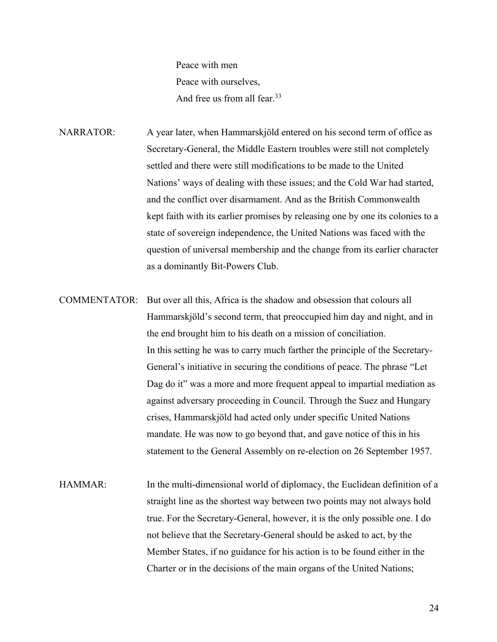Peace with men Peace with ourselves, And free us from all fear.33

NARRATOR: A year later, when Hammarskjöld entered on his second term of office as Secretary-General, the Middle Eastern troubles were still not completely settled and there were still modifications to be made to the United Nations' ways of dealing with these issues; and the Cold War had started, and the conflict over disarmament. And as the British Commonwealth kept faith with its earlier promises by releasing one by one its colonies to a state of sovereign independence, the United Nations was faced with the question of universal membership and the change from its earlier character as a dominantly Bit-Powers Club.

COMMENTATOR: But over all this, Africa is the shadow and obsession that colours all Hammarskjöld's second term, that preoccupied him day and night, and in the end brought him to his death on a mission of conciliation. In this setting he was to carry much farther the principle of the Secretary-General's initiative in securing the conditions of peace. The phrase "Let Dag do it" was a more and more frequent appeal to impartial mediation as against adversary proceeding in Council. Through the Suez and Hungary crises, Hammarskjöld had acted only under specific United Nations mandate. He was now to go beyond that, and gave notice of this in his statement to the General Assembly on re-election on 26 September 1957.

HAMMAR: In the multi-dimensional world of diplomacy, the Euclidean definition of a straight line as the shortest way between two points may not always hold true. For the Secretary-General, however, it is the only possible one. I do not believe that the Secretary-General should be asked to act, by the Member States, if no guidance for his action is to be found either in the Charter or in the decisions of the main organs of the United Nations;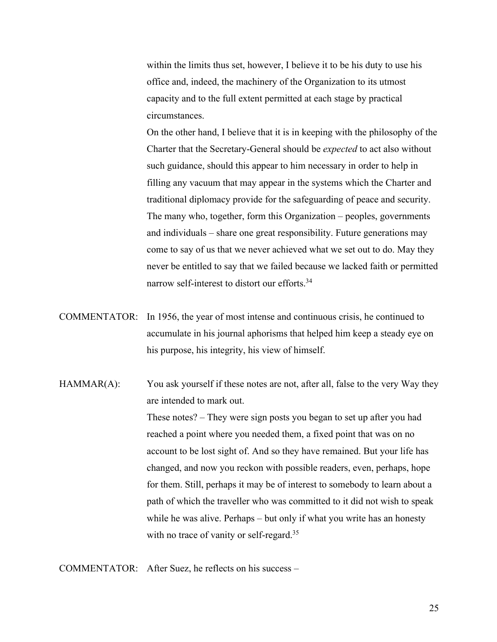within the limits thus set, however, I believe it to be his duty to use his office and, indeed, the machinery of the Organization to its utmost capacity and to the full extent permitted at each stage by practical circumstances.

On the other hand, I believe that it is in keeping with the philosophy of the Charter that the Secretary-General should be *expected* to act also without such guidance, should this appear to him necessary in order to help in filling any vacuum that may appear in the systems which the Charter and traditional diplomacy provide for the safeguarding of peace and security. The many who, together, form this Organization – peoples, governments and individuals – share one great responsibility. Future generations may come to say of us that we never achieved what we set out to do. May they never be entitled to say that we failed because we lacked faith or permitted narrow self-interest to distort our efforts.34

COMMENTATOR: In 1956, the year of most intense and continuous crisis, he continued to accumulate in his journal aphorisms that helped him keep a steady eye on his purpose, his integrity, his view of himself.

HAMMAR(A): You ask yourself if these notes are not, after all, false to the very Way they are intended to mark out. These notes? – They were sign posts you began to set up after you had reached a point where you needed them, a fixed point that was on no account to be lost sight of. And so they have remained. But your life has changed, and now you reckon with possible readers, even, perhaps, hope for them. Still, perhaps it may be of interest to somebody to learn about a path of which the traveller who was committed to it did not wish to speak while he was alive. Perhaps – but only if what you write has an honesty with no trace of vanity or self-regard.<sup>35</sup>

COMMENTATOR: After Suez, he reflects on his success –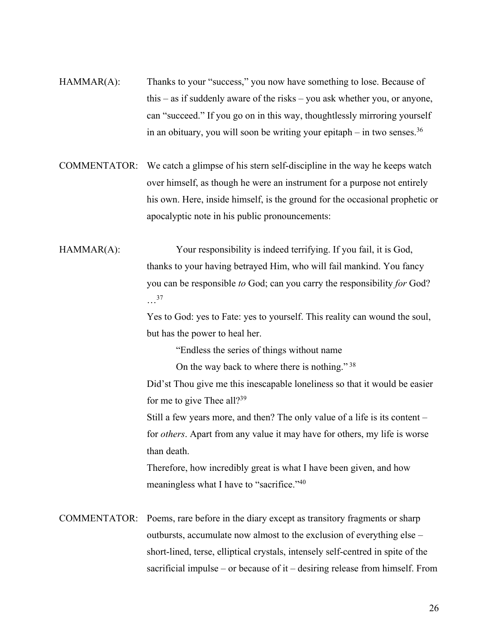- HAMMAR(A): Thanks to your "success," you now have something to lose. Because of this – as if suddenly aware of the risks – you ask whether you, or anyone, can "succeed." If you go on in this way, thoughtlessly mirroring yourself in an obituary, you will soon be writing your epitaph – in two senses.<sup>36</sup>
- COMMENTATOR: We catch a glimpse of his stern self-discipline in the way he keeps watch over himself, as though he were an instrument for a purpose not entirely his own. Here, inside himself, is the ground for the occasional prophetic or apocalyptic note in his public pronouncements:
- HAMMAR(A): Your responsibility is indeed terrifying. If you fail, it is God, thanks to your having betrayed Him, who will fail mankind. You fancy you can be responsible *to* God; can you carry the responsibility *for* God? …37

Yes to God: yes to Fate: yes to yourself. This reality can wound the soul, but has the power to heal her.

"Endless the series of things without name

On the way back to where there is nothing." <sup>38</sup>

Did'st Thou give me this inescapable loneliness so that it would be easier for me to give Thee all?39

Still a few years more, and then? The only value of a life is its content – for *others*. Apart from any value it may have for others, my life is worse than death.

Therefore, how incredibly great is what I have been given, and how meaningless what I have to "sacrifice."<sup>40</sup>

COMMENTATOR: Poems, rare before in the diary except as transitory fragments or sharp outbursts, accumulate now almost to the exclusion of everything else – short-lined, terse, elliptical crystals, intensely self-centred in spite of the sacrificial impulse – or because of it – desiring release from himself. From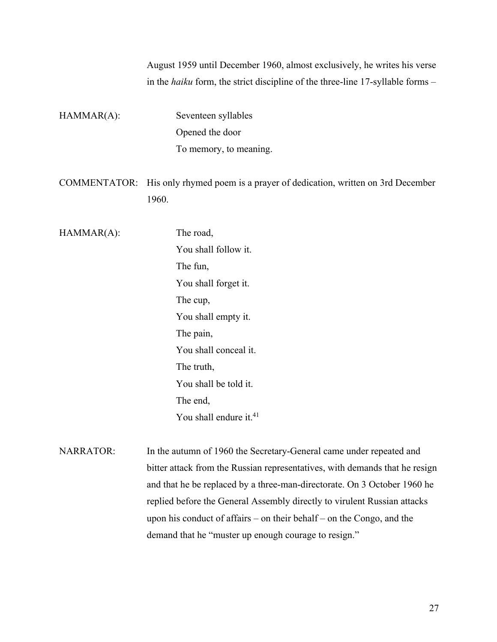August 1959 until December 1960, almost exclusively, he writes his verse in the *haiku* form, the strict discipline of the three-line 17-syllable forms –

HAMMAR(A): Seventeen syllables Opened the door To memory, to meaning.

COMMENTATOR: His only rhymed poem is a prayer of dedication, written on 3rd December 1960.

HAMMAR(A): The road, You shall follow it. The fun, You shall forget it. The cup, You shall empty it. The pain, You shall conceal it. The truth, You shall be told it. The end, You shall endure it.<sup>41</sup>

NARRATOR: In the autumn of 1960 the Secretary-General came under repeated and bitter attack from the Russian representatives, with demands that he resign and that he be replaced by a three-man-directorate. On 3 October 1960 he replied before the General Assembly directly to virulent Russian attacks upon his conduct of affairs – on their behalf – on the Congo, and the demand that he "muster up enough courage to resign."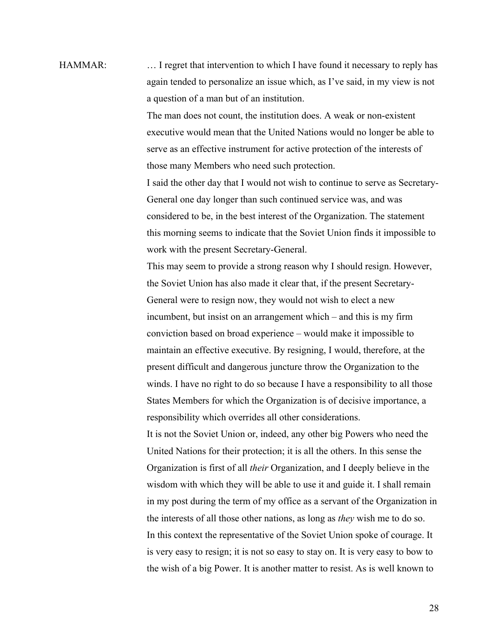#### HAMMAR: ... I regret that intervention to which I have found it necessary to reply has again tended to personalize an issue which, as I've said, in my view is not a question of a man but of an institution.

The man does not count, the institution does. A weak or non-existent executive would mean that the United Nations would no longer be able to serve as an effective instrument for active protection of the interests of those many Members who need such protection.

I said the other day that I would not wish to continue to serve as Secretary-General one day longer than such continued service was, and was considered to be, in the best interest of the Organization. The statement this morning seems to indicate that the Soviet Union finds it impossible to work with the present Secretary-General.

This may seem to provide a strong reason why I should resign. However, the Soviet Union has also made it clear that, if the present Secretary-General were to resign now, they would not wish to elect a new incumbent, but insist on an arrangement which – and this is my firm conviction based on broad experience – would make it impossible to maintain an effective executive. By resigning, I would, therefore, at the present difficult and dangerous juncture throw the Organization to the winds. I have no right to do so because I have a responsibility to all those States Members for which the Organization is of decisive importance, a responsibility which overrides all other considerations.

It is not the Soviet Union or, indeed, any other big Powers who need the United Nations for their protection; it is all the others. In this sense the Organization is first of all *their* Organization, and I deeply believe in the wisdom with which they will be able to use it and guide it. I shall remain in my post during the term of my office as a servant of the Organization in the interests of all those other nations, as long as *they* wish me to do so. In this context the representative of the Soviet Union spoke of courage. It is very easy to resign; it is not so easy to stay on. It is very easy to bow to the wish of a big Power. It is another matter to resist. As is well known to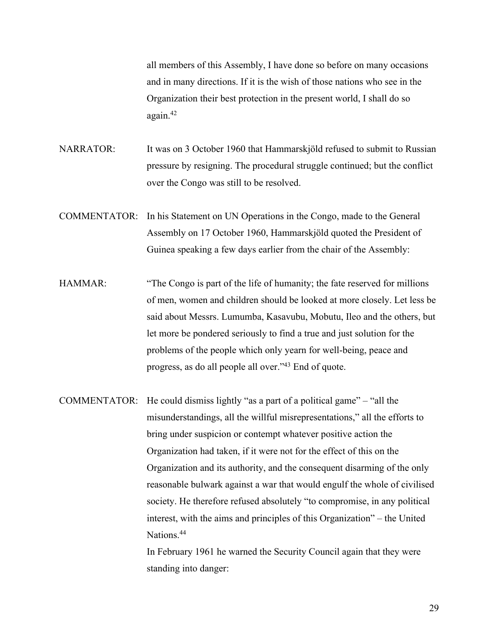all members of this Assembly, I have done so before on many occasions and in many directions. If it is the wish of those nations who see in the Organization their best protection in the present world, I shall do so again. $42$ 

NARRATOR: It was on 3 October 1960 that Hammarskjöld refused to submit to Russian pressure by resigning. The procedural struggle continued; but the conflict over the Congo was still to be resolved.

COMMENTATOR: In his Statement on UN Operations in the Congo, made to the General Assembly on 17 October 1960, Hammarskjöld quoted the President of Guinea speaking a few days earlier from the chair of the Assembly:

- HAMMAR: "The Congo is part of the life of humanity; the fate reserved for millions of men, women and children should be looked at more closely. Let less be said about Messrs. Lumumba, Kasavubu, Mobutu, Ileo and the others, but let more be pondered seriously to find a true and just solution for the problems of the people which only yearn for well-being, peace and progress, as do all people all over."43 End of quote.
- COMMENTATOR: He could dismiss lightly "as a part of a political game" "all the misunderstandings, all the willful misrepresentations," all the efforts to bring under suspicion or contempt whatever positive action the Organization had taken, if it were not for the effect of this on the Organization and its authority, and the consequent disarming of the only reasonable bulwark against a war that would engulf the whole of civilised society. He therefore refused absolutely "to compromise, in any political interest, with the aims and principles of this Organization" – the United Nations.<sup>44</sup>

In February 1961 he warned the Security Council again that they were standing into danger: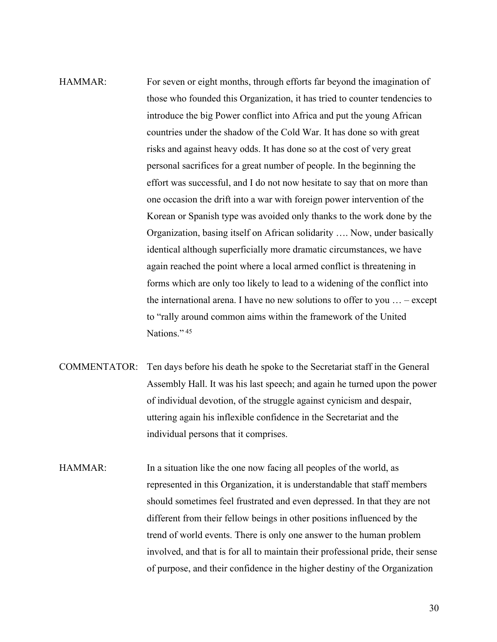- HAMMAR: For seven or eight months, through efforts far beyond the imagination of those who founded this Organization, it has tried to counter tendencies to introduce the big Power conflict into Africa and put the young African countries under the shadow of the Cold War. It has done so with great risks and against heavy odds. It has done so at the cost of very great personal sacrifices for a great number of people. In the beginning the effort was successful, and I do not now hesitate to say that on more than one occasion the drift into a war with foreign power intervention of the Korean or Spanish type was avoided only thanks to the work done by the Organization, basing itself on African solidarity …. Now, under basically identical although superficially more dramatic circumstances, we have again reached the point where a local armed conflict is threatening in forms which are only too likely to lead to a widening of the conflict into the international arena. I have no new solutions to offer to you … – except to "rally around common aims within the framework of the United Nations." 45
- COMMENTATOR: Ten days before his death he spoke to the Secretariat staff in the General Assembly Hall. It was his last speech; and again he turned upon the power of individual devotion, of the struggle against cynicism and despair, uttering again his inflexible confidence in the Secretariat and the individual persons that it comprises.
- HAMMAR: In a situation like the one now facing all peoples of the world, as represented in this Organization, it is understandable that staff members should sometimes feel frustrated and even depressed. In that they are not different from their fellow beings in other positions influenced by the trend of world events. There is only one answer to the human problem involved, and that is for all to maintain their professional pride, their sense of purpose, and their confidence in the higher destiny of the Organization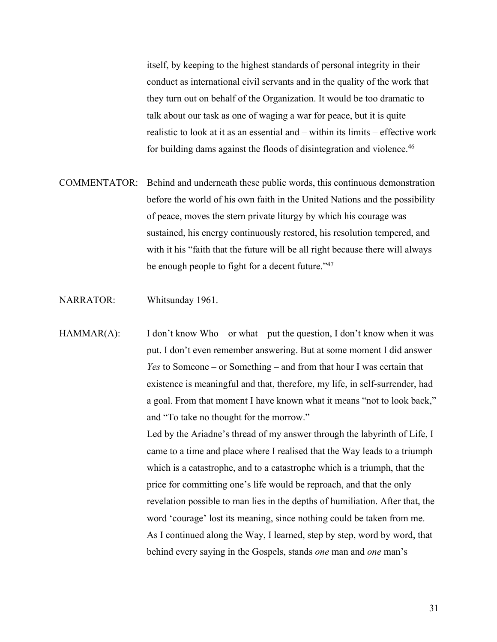itself, by keeping to the highest standards of personal integrity in their conduct as international civil servants and in the quality of the work that they turn out on behalf of the Organization. It would be too dramatic to talk about our task as one of waging a war for peace, but it is quite realistic to look at it as an essential and – within its limits – effective work for building dams against the floods of disintegration and violence.<sup>46</sup>

- COMMENTATOR: Behind and underneath these public words, this continuous demonstration before the world of his own faith in the United Nations and the possibility of peace, moves the stern private liturgy by which his courage was sustained, his energy continuously restored, his resolution tempered, and with it his "faith that the future will be all right because there will always be enough people to fight for a decent future."<sup>47</sup>
- NARRATOR: Whitsunday 1961.

HAMMAR(A): I don't know Who – or what – put the question, I don't know when it was put. I don't even remember answering. But at some moment I did answer *Yes* to Someone – or Something – and from that hour I was certain that existence is meaningful and that, therefore, my life, in self-surrender, had a goal. From that moment I have known what it means "not to look back," and "To take no thought for the morrow." Led by the Ariadne's thread of my answer through the labyrinth of Life, I came to a time and place where I realised that the Way leads to a triumph which is a catastrophe, and to a catastrophe which is a triumph, that the price for committing one's life would be reproach, and that the only revelation possible to man lies in the depths of humiliation. After that, the word 'courage' lost its meaning, since nothing could be taken from me. As I continued along the Way, I learned, step by step, word by word, that behind every saying in the Gospels, stands *one* man and *one* man's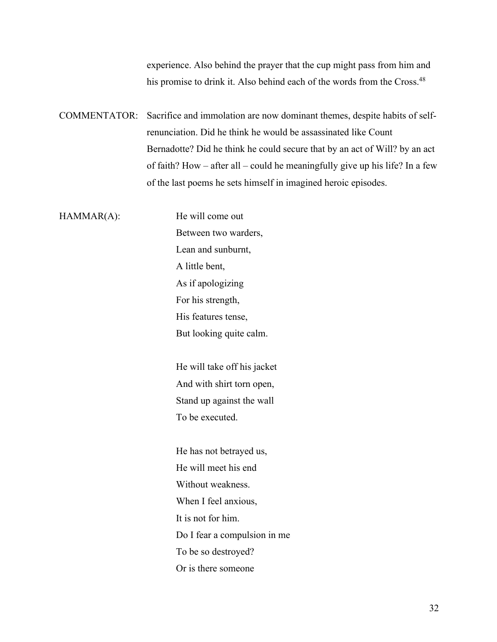experience. Also behind the prayer that the cup might pass from him and his promise to drink it. Also behind each of the words from the Cross.<sup>48</sup>

COMMENTATOR: Sacrifice and immolation are now dominant themes, despite habits of selfrenunciation. Did he think he would be assassinated like Count Bernadotte? Did he think he could secure that by an act of Will? by an act of faith? How – after all – could he meaningfully give up his life? In a few of the last poems he sets himself in imagined heroic episodes.

HAMMAR(A): He will come out Between two warders, Lean and sunburnt, A little bent, As if apologizing For his strength, His features tense, But looking quite calm.

> He will take off his jacket And with shirt torn open, Stand up against the wall To be executed.

He has not betrayed us, He will meet his end Without weakness. When I feel anxious, It is not for him. Do I fear a compulsion in me To be so destroyed? Or is there someone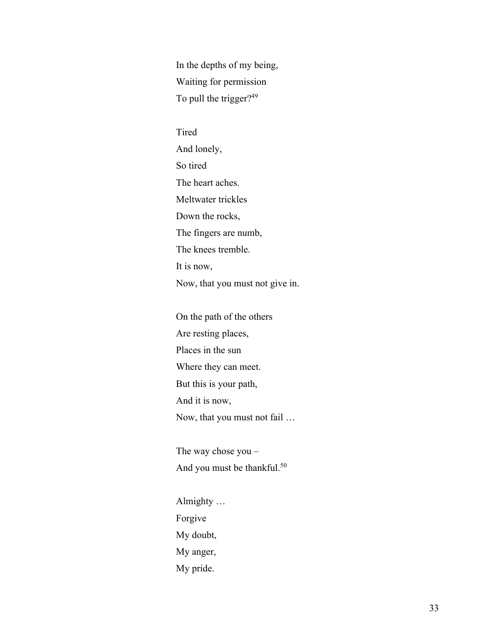In the depths of my being, Waiting for permission To pull the trigger?<sup>49</sup>

Tired And lonely, So tired The heart aches. Meltwater trickles Down the rocks, The fingers are numb, The knees tremble. It is now, Now, that you must not give in.

On the path of the others Are resting places, Places in the sun Where they can meet. But this is your path, And it is now, Now, that you must not fail …

The way chose you – And you must be thankful.<sup>50</sup>

Almighty … Forgive My doubt, My anger, My pride.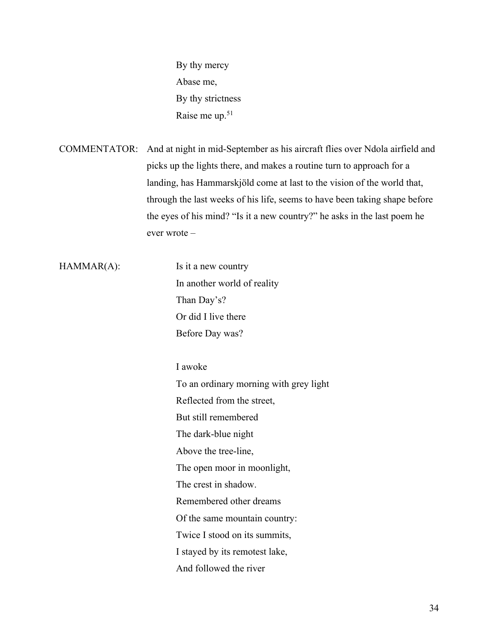By thy mercy Abase me, By thy strictness Raise me up.<sup>51</sup>

COMMENTATOR: And at night in mid-September as his aircraft flies over Ndola airfield and picks up the lights there, and makes a routine turn to approach for a landing, has Hammarskjöld come at last to the vision of the world that, through the last weeks of his life, seems to have been taking shape before the eyes of his mind? "Is it a new country?" he asks in the last poem he ever wrote –

 $HAMMAR(A):$  Is it a new country In another world of reality Than Day's? Or did I live there Before Day was?

I awoke

To an ordinary morning with grey light Reflected from the street, But still remembered The dark-blue night Above the tree-line, The open moor in moonlight, The crest in shadow. Remembered other dreams Of the same mountain country: Twice I stood on its summits, I stayed by its remotest lake, And followed the river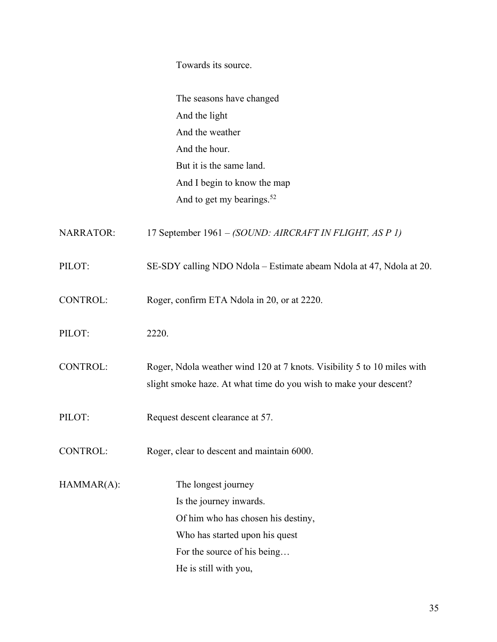Towards its source.

The seasons have changed And the light And the weather And the hour. But it is the same land. And I begin to know the map And to get my bearings.<sup>52</sup>

NARRATOR: 17 September 1961 – *(SOUND: AIRCRAFT IN FLIGHT, AS P 1)* 

PILOT: SE-SDY calling NDO Ndola – Estimate abeam Ndola at 47, Ndola at 20.

CONTROL: Roger, confirm ETA Ndola in 20, or at 2220.

PILOT: 2220.

CONTROL: Roger, Ndola weather wind 120 at 7 knots. Visibility 5 to 10 miles with slight smoke haze. At what time do you wish to make your descent?

PILOT: Request descent clearance at 57.

CONTROL: Roger, clear to descent and maintain 6000.

HAMMAR(A): The longest journey Is the journey inwards. Of him who has chosen his destiny, Who has started upon his quest For the source of his being… He is still with you,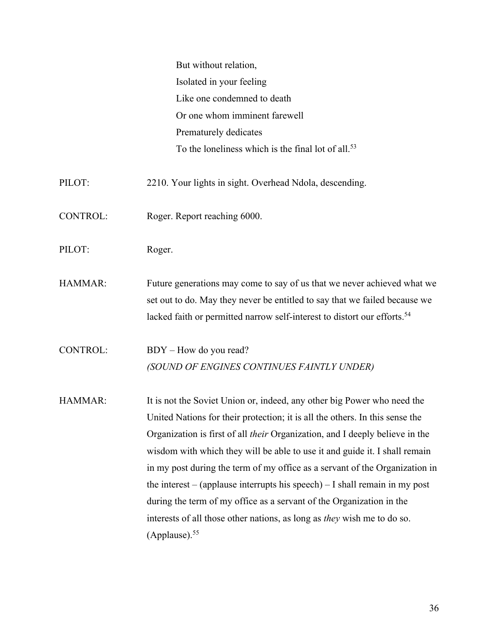But without relation, Isolated in your feeling Like one condemned to death Or one whom imminent farewell Prematurely dedicates To the loneliness which is the final lot of all.<sup>53</sup>

- PILOT: 2210. Your lights in sight. Overhead Ndola, descending.
- CONTROL: Roger. Report reaching 6000.
- PILOT: Roger.

HAMMAR: Future generations may come to say of us that we never achieved what we set out to do. May they never be entitled to say that we failed because we lacked faith or permitted narrow self-interest to distort our efforts.<sup>54</sup>

CONTROL: BDY – How do you read? *(SOUND OF ENGINES CONTINUES FAINTLY UNDER)*

HAMMAR: It is not the Soviet Union or, indeed, any other big Power who need the United Nations for their protection; it is all the others. In this sense the Organization is first of all *their* Organization, and I deeply believe in the wisdom with which they will be able to use it and guide it. I shall remain in my post during the term of my office as a servant of the Organization in the interest – (applause interrupts his speech) – I shall remain in my post during the term of my office as a servant of the Organization in the interests of all those other nations, as long as *they* wish me to do so. (Applause).55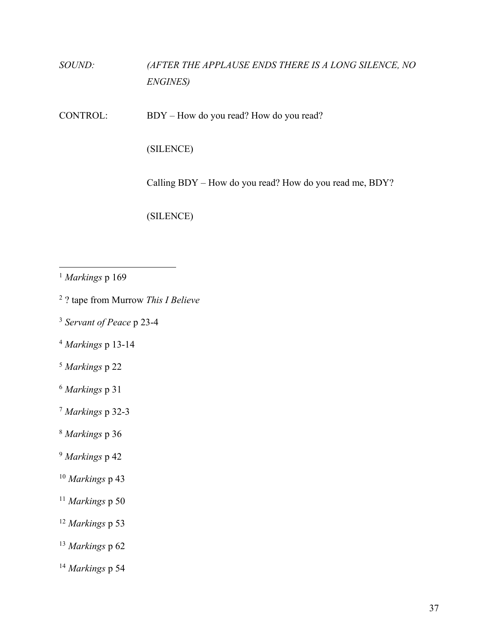# *SOUND: (AFTER THE APPLAUSE ENDS THERE IS A LONG SILENCE, NO ENGINES)*

CONTROL: BDY – How do you read? How do you read?

(SILENCE)

Calling BDY – How do you read? How do you read me, BDY?

(SILENCE)

*Markings* p 169

- ? tape from Murrow *This I Believe*
- *Servant of Peace* p 23-4
- *Markings* p 13-14
- *Markings* p 22
- *Markings* p 31

*Markings* p 32-3

*Markings* p 36

*Markings* p 42

- *Markings* p 43
- *Markings* p 50
- *Markings* p 53
- *Markings* p 62
- *Markings* p 54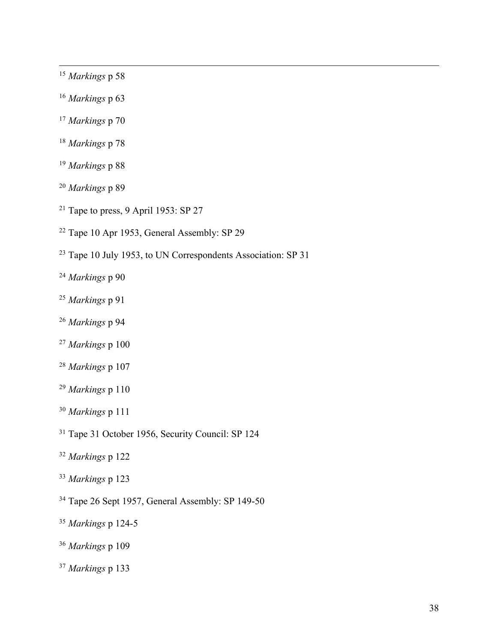- *Markings* p 58
- *Markings* p 63
- *Markings* p 70
- *Markings* p 78
- *Markings* p 88
- *Markings* p 89
- <sup>21</sup> Tape to press, 9 April 1953: SP 27
- Tape 10 Apr 1953, General Assembly: SP 29
- <sup>23</sup> Tape 10 July 1953, to UN Correspondents Association: SP 31
- *Markings* p 90
- *Markings* p 91
- *Markings* p 94
- *Markings* p 100
- *Markings* p 107
- *Markings* p 110
- *Markings* p 111
- Tape 31 October 1956, Security Council: SP 124
- *Markings* p 122
- *Markings* p 123
- Tape 26 Sept 1957, General Assembly: SP 149-50
- *Markings* p 124-5
- *Markings* p 109
- *Markings* p 133